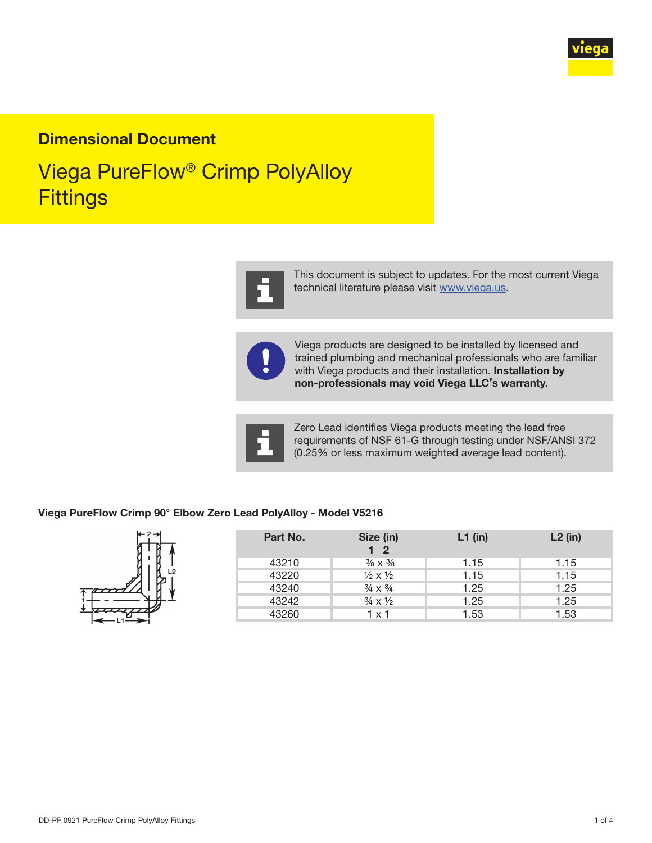

# Dimensional Document

# Viega PureFlow® Crimp PolyAlloy **Fittings**



This document is subject to updates. For the most current Viega technical literature please visit [www.viega.us](http://www.viega.us).



Viega products are designed to be installed by licensed and trained plumbing and mechanical professionals who are familiar with Viega products and their installation. Installation by non-professionals may void Viega LLC's warranty.



Zero Lead identifies Viega products meeting the lead free requirements of NSF 61-G through testing under NSF/ANSI 372 (0.25% or less maximum weighted average lead content).

#### Viega PureFlow Crimp 90° Elbow Zero Lead PolyAlloy - Model V5216



| Part No. | Size (in)<br>1 <sub>2</sub>      | $L1$ (in) | $L2$ (in) |
|----------|----------------------------------|-----------|-----------|
| 43210    | $\frac{3}{8} \times \frac{3}{8}$ | 1.15      | 1.15      |
| 43220    | $\frac{1}{2} \times \frac{1}{2}$ | 1.15      | 1.15      |
| 43240    | $\frac{3}{4} \times \frac{3}{4}$ | 1.25      | 1.25      |
| 43242    | $\frac{3}{4} \times \frac{1}{2}$ | 1.25      | 1.25      |
| 43260    | $1 \times 1$                     | 1.53      | 1.53      |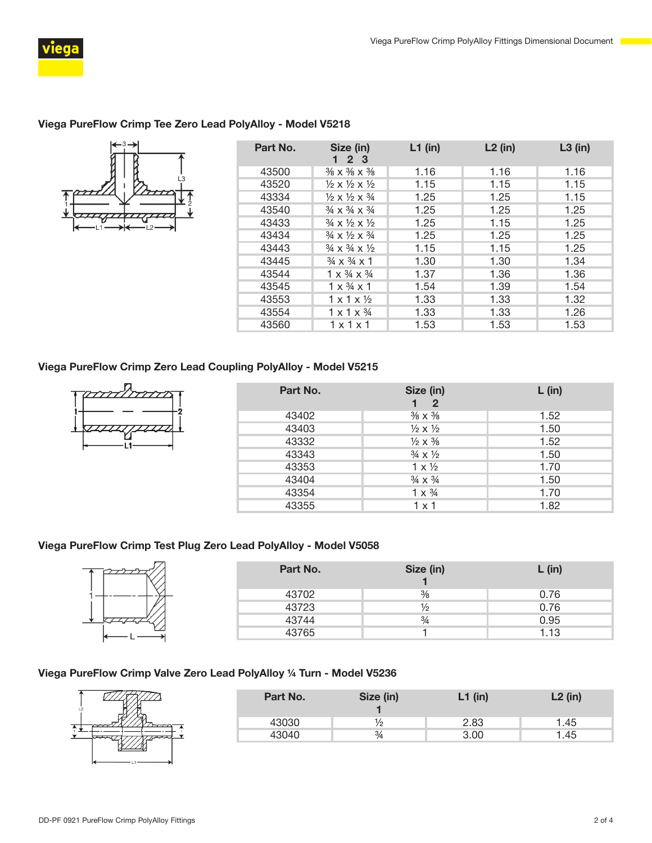

# Viega PureFlow Crimp Tee Zero Lead PolyAlloy - Model V5218



| Part No. | Size (in)<br>2 3                                    | $L1$ (in) | $L2$ (in) | $L3$ (in) |
|----------|-----------------------------------------------------|-----------|-----------|-----------|
| 43500    | $\frac{3}{8}$ X $\frac{3}{8}$ X $\frac{3}{8}$       | 1.16      | 1.16      | 1.16      |
| 43520    | $\frac{1}{2} \times \frac{1}{2} \times \frac{1}{2}$ | 1.15      | 1.15      | 1.15      |
| 43334    | $\frac{1}{2} \times \frac{1}{2} \times \frac{3}{4}$ | 1.25      | 1.25      | 1.15      |
| 43540    | $\frac{3}{4} \times \frac{3}{4} \times \frac{3}{4}$ | 1.25      | 1.25      | 1.25      |
| 43433    | $\frac{3}{4} \times \frac{1}{2} \times \frac{1}{2}$ | 1.25      | 1.15      | 1.25      |
| 43434    | $\frac{3}{4} \times \frac{1}{2} \times \frac{3}{4}$ | 1.25      | 1.25      | 1.25      |
| 43443    | $\frac{3}{4} \times \frac{3}{4} \times \frac{1}{2}$ | 1.15      | 1.15      | 1.25      |
| 43445    | $\frac{3}{4} \times \frac{3}{4} \times 1$           | 1.30      | 1.30      | 1.34      |
| 43544    | $1 \times \frac{3}{4} \times \frac{3}{4}$           | 1.37      | 1.36      | 1.36      |
| 43545    | $1 \times \frac{3}{4} \times 1$                     | 1.54      | 1.39      | 1.54      |
| 43553    | $1 \times 1 \times \frac{1}{2}$                     | 1.33      | 1.33      | 1.32      |
| 43554    | $1 \times 1 \times \frac{3}{4}$                     | 1.33      | 1.33      | 1.26      |
| 43560    | $1 \times 1 \times 1$                               | 1.53      | 1.53      | 1.53      |

#### Viega PureFlow Crimp Zero Lead Coupling PolyAlloy - Model V5215



| Part No. | Size (in)<br>$\overline{2}$      | $L$ (in) |
|----------|----------------------------------|----------|
| 43402    | $\frac{3}{8} \times \frac{3}{8}$ | 1.52     |
| 43403    | $\frac{1}{2} \times \frac{1}{2}$ | 1.50     |
| 43332    | $\frac{1}{2} \times \frac{3}{8}$ | 1.52     |
| 43343    | $\frac{3}{4} \times \frac{1}{2}$ | 1.50     |
| 43353    | $1 \times \frac{1}{2}$           | 1.70     |
| 43404    | $\frac{3}{4} \times \frac{3}{4}$ | 1.50     |
| 43354    | $1 \times \frac{3}{4}$           | 1.70     |
| 43355    | 1 x 1                            | 1.82     |

# Viega PureFlow Crimp Test Plug Zero Lead PolyAlloy - Model V5058



| Part No. | Size (in)     | $L$ (in) |
|----------|---------------|----------|
| 43702    | $\frac{3}{8}$ | 0.76     |
| 43723    | 1⁄2           | 0.76     |
| 43744    | $\frac{3}{4}$ | 0.95     |
| 43765    |               | 1.13     |

#### Viega PureFlow Crimp Valve Zero Lead PolyAlloy ¼ Turn - Model V5236

| L <sub>2</sub> |  |
|----------------|--|
|                |  |
|                |  |
|                |  |

| Part No. | Size (in) | $L1$ (in) | $L2$ (in) |
|----------|-----------|-----------|-----------|
| 43030    | 1/2       | 2.83      | 1.45      |
| 13040    | 3/4       | 3.00      | .45       |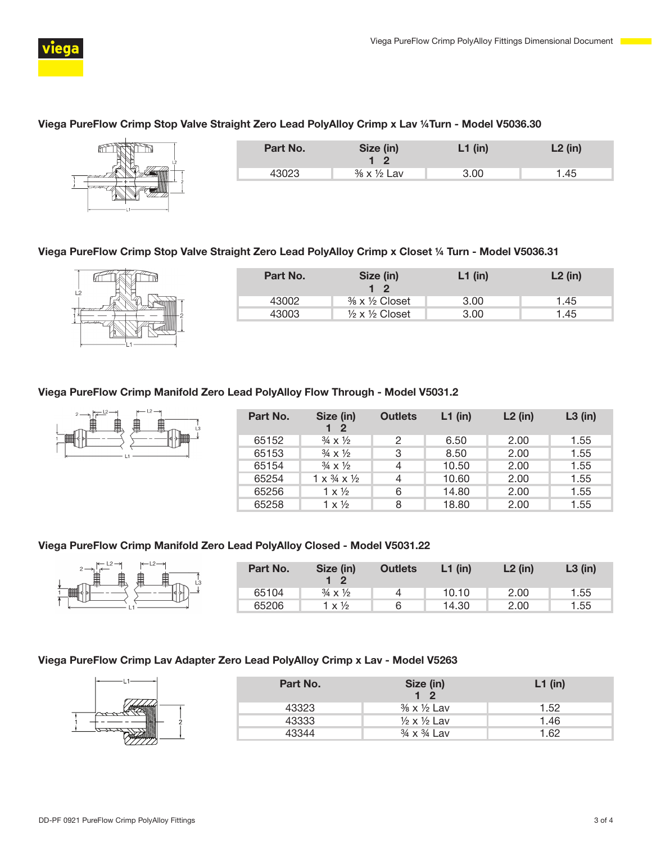

#### Viega PureFlow Crimp Stop Valve Straight Zero Lead PolyAlloy Crimp x Lav ¼Turn - Model V5036.30

|                       | Part No. | Size (in)<br>- 2 | $L1$ (in) | $L2$ (in) |
|-----------------------|----------|------------------|-----------|-----------|
| $\tau$ and the $\tau$ | 43023    | % x 1/2 Lav      | 3.00      | 1.45      |
| بالملامات             |          |                  |           |           |

#### Viega PureFlow Crimp Stop Valve Straight Zero Lead PolyAlloy Crimp x Closet ¼ Turn - Model V5036.31

| L2 |  |
|----|--|
|    |  |

| Part No. | Size (in)<br>$1\quad 2$                 | $L1$ (in) | $L2$ (in) |
|----------|-----------------------------------------|-----------|-----------|
| 43002    | $\frac{3}{8}$ x $\frac{1}{2}$ Closet    | 3.00      | 1.45      |
| 43003    | $\frac{1}{2} \times \frac{1}{2}$ Closet | 3.00      | 1.45      |

#### Viega PureFlow Crimp Manifold Zero Lead PolyAlloy Flow Through - Model V5031.2



| Part No. | Size (in)<br>$1\quad 2$                   | <b>Outlets</b> | $L1$ (in) | $L2$ (in) | $L3$ (in) |
|----------|-------------------------------------------|----------------|-----------|-----------|-----------|
| 65152    | $\frac{3}{4} \times \frac{1}{2}$          | 2              | 6.50      | 2.00      | 1.55      |
| 65153    | $\frac{3}{4} \times \frac{1}{2}$          | 3              | 8.50      | 2.00      | 1.55      |
| 65154    | $\frac{3}{4} \times \frac{1}{2}$          | 4              | 10.50     | 2.00      | 1.55      |
| 65254    | $1 \times \frac{3}{4} \times \frac{1}{2}$ | 4              | 10.60     | 2.00      | 1.55      |
| 65256    | $1 \times \frac{1}{2}$                    | 6              | 14.80     | 2.00      | 1.55      |
| 65258    | $1 \times \frac{1}{2}$                    | 8              | 18.80     | 2.00      | 1.55      |

#### Viega PureFlow Crimp Manifold Zero Lead PolyAlloy Closed - Model V5031.22

|              | Part No. | Size (in)                        | <b>Outlets</b> | $L1$ (in) | $L2$ (in) | $L3$ (in) |
|--------------|----------|----------------------------------|----------------|-----------|-----------|-----------|
| $\mathbb{D}$ | 65104    | $\frac{3}{4} \times \frac{1}{2}$ |                | 10.10     | 2.00      | 1.55      |
|              | 65206    | $1 \times \frac{1}{2}$           | ൳              | 14.30     | 2.00      | 1.55      |

#### Viega PureFlow Crimp Lav Adapter Zero Lead PolyAlloy Crimp x Lav - Model V5263

|               | Part No. | Size (in)<br>19                      | $L1$ (in) |
|---------------|----------|--------------------------------------|-----------|
| **********    | 43323    | $\frac{3}{8}$ x $\frac{1}{2}$ Lav    | 1.52      |
|               | 43333    | $\frac{1}{2} \times \frac{1}{2}$ Lav | 1.46      |
| ,,,,,,,,,,,,, | 43344    | $3/4 \times 3/4$ Lav                 | 1.62      |
|               |          |                                      |           |